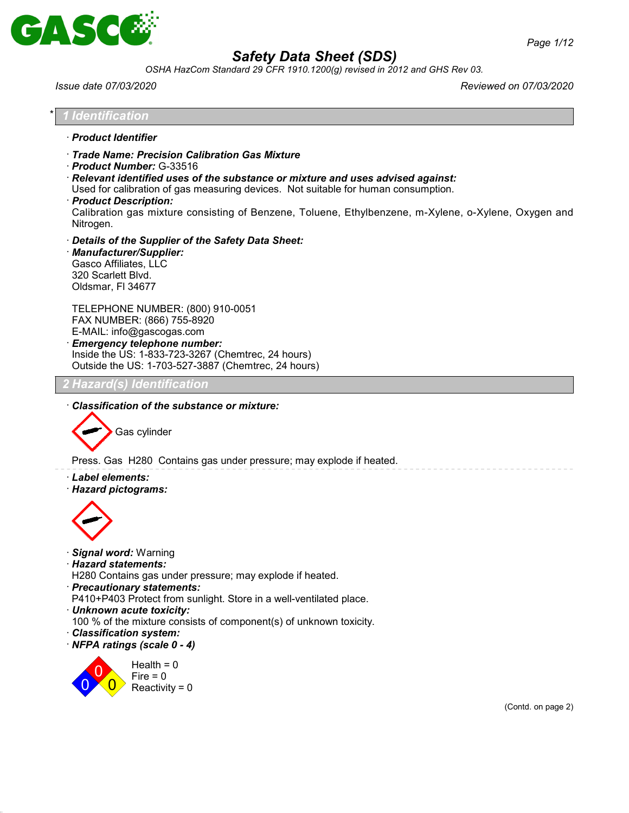

*OSHA HazCom Standard 29 CFR 1910.1200(g) revised in 2012 and GHS Rev 03.*

*Issue date 07/03/2020 Reviewed on 07/03/2020*

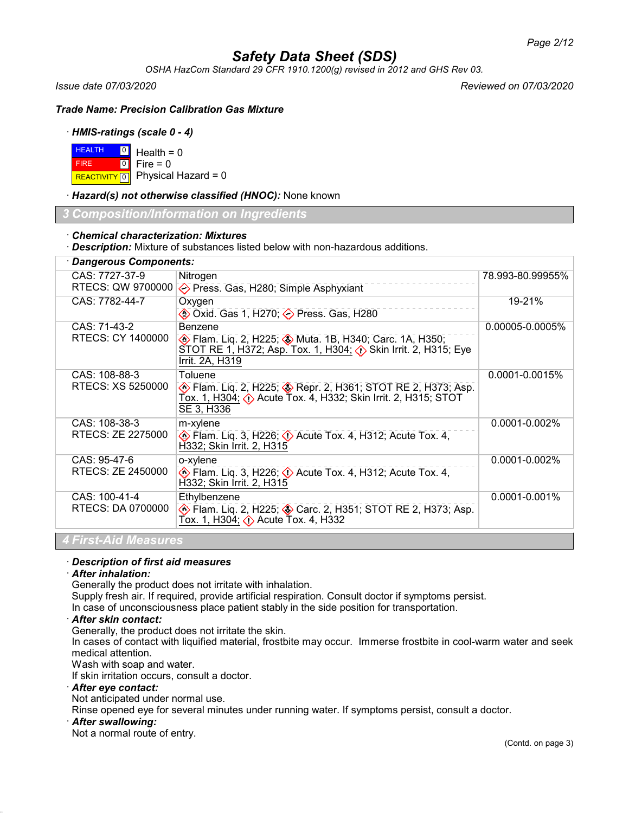*OSHA HazCom Standard 29 CFR 1910.1200(g) revised in 2012 and GHS Rev 03.*

*Issue date 07/03/2020 Reviewed on 07/03/2020*

*Trade Name: Precision Calibration Gas Mixture*

## · *HMIS-ratings (scale 0 - 4)*

| $H = 0$ Health = 0 |                                          |
|--------------------|------------------------------------------|
| <b>FIRE</b>        | $\blacksquare$ 0 $\blacksquare$ Fire = 0 |
|                    | REACTIVITY 0 Physical Hazard = 0         |

· *Hazard(s) not otherwise classified (HNOC):* None known

*3 Composition/Information on Ingredients*

## · *Chemical characterization: Mixtures*

· *Description:* Mixture of substances listed below with non-hazardous additions.

| · Dangerous Components:                           |                                                                                                                                                                                    |                    |  |  |
|---------------------------------------------------|------------------------------------------------------------------------------------------------------------------------------------------------------------------------------------|--------------------|--|--|
| CAS: 7727-37-9<br>RTECS: QW 9700000               | Nitrogen<br>◆ Press. Gas, H280; Simple Asphyxiant                                                                                                                                  | 78.993-80.99955%   |  |  |
| CAS: 7782-44-7                                    | Oxygen<br><b>♦ Oxid. Gas 1, H270; ♦ Press. Gas, H280</b>                                                                                                                           | 19-21%             |  |  |
| CAS: 71-43-2<br>RTECS: CY 1400000                 | Benzene<br><b>Elam. Liq. 2, H225; WHITELLER</b> , H340; Carc. 1A, H350;<br>STOT RE 1, H372; Asp. Tox. 1, H304; ∧ Skin Irrit. 2, H315; Eye<br>Irrit. 2A, H319                       | 0.00005-0.0005%    |  |  |
| CAS: 108-88-3<br>RTECS: XS 5250000                | Toluene<br><b>Example 2, H225; Configure 2, H361; STOT RE 2, H373; Asp.</b> (2, H373; Asp.<br>Tox. 1, H304; $\Diamond$ Acute Tox. 4, H332; Skin Irrit. 2, H315; STOT<br>SE 3, H336 | 0.0001-0.0015%     |  |  |
| CAS: 108-38-3<br>RTECS: ZE 2275000                | m-xylene<br>$\diamondsuit$ Flam. Liq. 3, H226; $\diamondsuit$ Acute Tox. 4, H312; Acute Tox. 4,<br>H332; Skin Irrit. 2, H315                                                       | $0.0001 - 0.002\%$ |  |  |
| CAS: 95-47-6<br>RTECS: ZE 2450000                 | o-xylene<br>$\diamondsuit$ Flam. Liq. 3, H226; $\diamondsuit$ Acute Tox. 4, H312; Acute Tox. 4,<br>H332; Skin Irrit. 2, H315                                                       | 0.0001-0.002%      |  |  |
| CAS: 100-41-4<br>RTECS: DA 0700000                | Ethylbenzene<br><b>Example 2, H225; Carc. 2, H351; STOT RE 2, H373; Asp.</b> 6. 1973; Asp.                                                                                         | 0.0001-0.001%      |  |  |
| $\mathbf{r}$ . The set of the set of $\mathbf{r}$ |                                                                                                                                                                                    |                    |  |  |

## *4 First-Aid Measures*

## · *Description of first aid measures*

## · *After inhalation:*

Generally the product does not irritate with inhalation.

Supply fresh air. If required, provide artificial respiration. Consult doctor if symptoms persist.

In case of unconsciousness place patient stably in the side position for transportation.

## · *After skin contact:*

Generally, the product does not irritate the skin.

In cases of contact with liquified material, frostbite may occur. Immerse frostbite in cool-warm water and seek medical attention.

Wash with soap and water.

If skin irritation occurs, consult a doctor.

#### · *After eye contact:*

Not anticipated under normal use.

Rinse opened eye for several minutes under running water. If symptoms persist, consult a doctor.

#### · *After swallowing:*

Not a normal route of entry.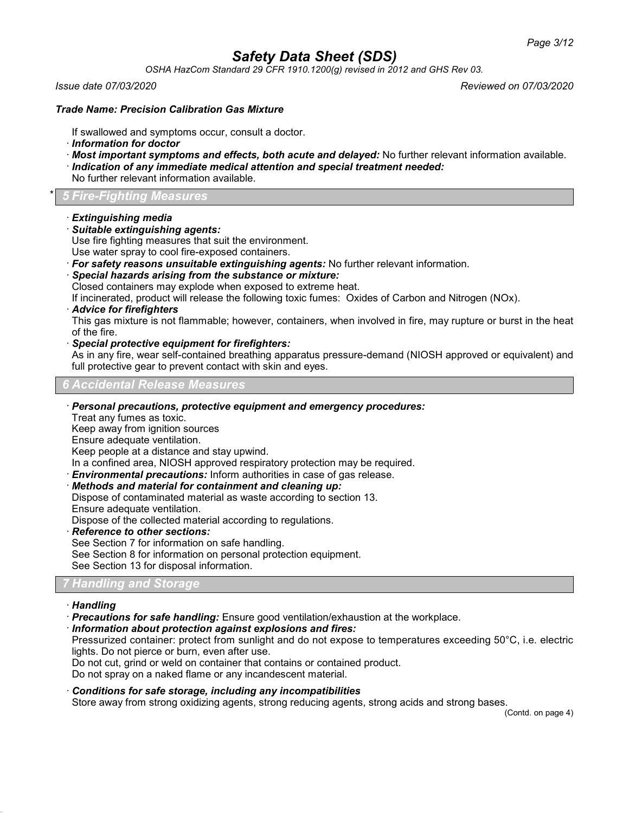*OSHA HazCom Standard 29 CFR 1910.1200(g) revised in 2012 and GHS Rev 03.*

*Issue date 07/03/2020 Reviewed on 07/03/2020*

## *Trade Name: Precision Calibration Gas Mixture*

If swallowed and symptoms occur, consult a doctor.

- · *Information for doctor*
- · *Most important symptoms and effects, both acute and delayed:* No further relevant information available.
- · *Indication of any immediate medical attention and special treatment needed:*
- No further relevant information available.

## \* *5 Fire-Fighting Measures*

- · *Extinguishing media*
- · *Suitable extinguishing agents:*

Use fire fighting measures that suit the environment.

- Use water spray to cool fire-exposed containers.
- · *For safety reasons unsuitable extinguishing agents:* No further relevant information.
- · *Special hazards arising from the substance or mixture:*

Closed containers may explode when exposed to extreme heat.

If incinerated, product will release the following toxic fumes: Oxides of Carbon and Nitrogen (NOx).

· *Advice for firefighters*

This gas mixture is not flammable; however, containers, when involved in fire, may rupture or burst in the heat of the fire.

· *Special protective equipment for firefighters:*

As in any fire, wear self-contained breathing apparatus pressure-demand (NIOSH approved or equivalent) and full protective gear to prevent contact with skin and eyes.

*6 Accidental Release Measures*

### · *Personal precautions, protective equipment and emergency procedures:*

Treat any fumes as toxic.

Keep away from ignition sources

Ensure adequate ventilation.

Keep people at a distance and stay upwind.

In a confined area, NIOSH approved respiratory protection may be required.

· *Environmental precautions:* Inform authorities in case of gas release.

· *Methods and material for containment and cleaning up:*

Dispose of contaminated material as waste according to section 13.

Ensure adequate ventilation. Dispose of the collected material according to regulations.

- · *Reference to other sections:*
- See Section 7 for information on safe handling.

See Section 8 for information on personal protection equipment. See Section 13 for disposal information.

## *7 Handling and Storage*

#### · *Handling*

- · *Precautions for safe handling:* Ensure good ventilation/exhaustion at the workplace.
- · *Information about protection against explosions and fires:*

Pressurized container: protect from sunlight and do not expose to temperatures exceeding 50°C, i.e. electric lights. Do not pierce or burn, even after use.

Do not cut, grind or weld on container that contains or contained product.

Do not spray on a naked flame or any incandescent material.

## · *Conditions for safe storage, including any incompatibilities*

Store away from strong oxidizing agents, strong reducing agents, strong acids and strong bases.

(Contd. on page 4)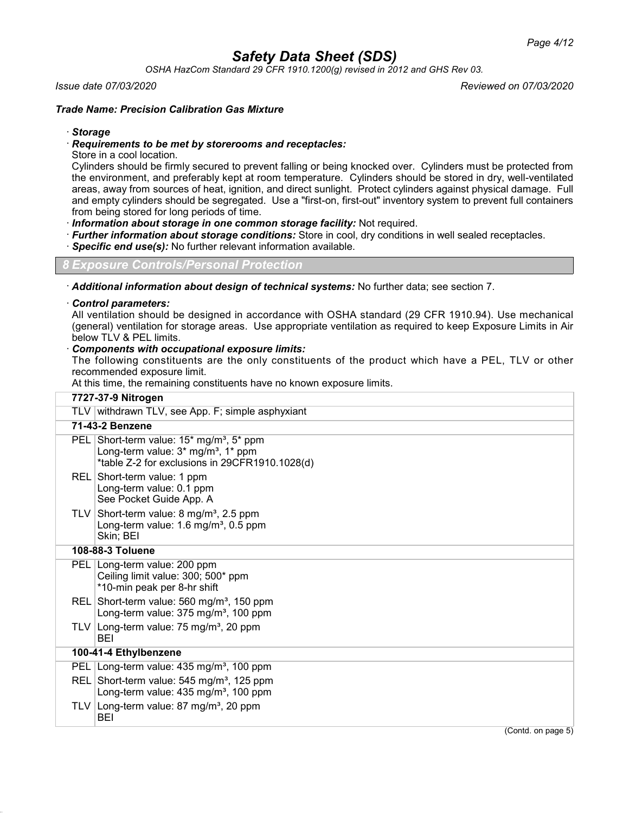*OSHA HazCom Standard 29 CFR 1910.1200(g) revised in 2012 and GHS Rev 03.*

### *Issue date 07/03/2020 Reviewed on 07/03/2020*

## *Trade Name: Precision Calibration Gas Mixture*

### · *Storage*

### · *Requirements to be met by storerooms and receptacles:*

Store in a cool location.

Cylinders should be firmly secured to prevent falling or being knocked over. Cylinders must be protected from the environment, and preferably kept at room temperature. Cylinders should be stored in dry, well-ventilated areas, away from sources of heat, ignition, and direct sunlight. Protect cylinders against physical damage. Full and empty cylinders should be segregated. Use a "first-on, first-out" inventory system to prevent full containers from being stored for long periods of time.

· *Information about storage in one common storage facility:* Not required.

- · *Further information about storage conditions:* Store in cool, dry conditions in well sealed receptacles.
- **Specific end use(s):** No further relevant information available.

*8 Exposure Controls/Personal Protection*

· *Additional information about design of technical systems:* No further data; see section 7.

#### · *Control parameters:*

All ventilation should be designed in accordance with OSHA standard (29 CFR 1910.94). Use mechanical (general) ventilation for storage areas. Use appropriate ventilation as required to keep Exposure Limits in Air below TLV & PEL limits.

### · *Components with occupational exposure limits:*

The following constituents are the only constituents of the product which have a PEL, TLV or other recommended exposure limit.

At this time, the remaining constituents have no known exposure limits.

|     | 7727-37-9 Nitrogen                                                                                                                                           |
|-----|--------------------------------------------------------------------------------------------------------------------------------------------------------------|
|     | TLV withdrawn TLV, see App. F; simple asphyxiant                                                                                                             |
|     | 71-43-2 Benzene                                                                                                                                              |
|     | PEL Short-term value: $15*$ mg/m <sup>3</sup> , $5*$ ppm<br>Long-term value: 3* mg/m <sup>3</sup> , 1* ppm<br>*table Z-2 for exclusions in 29CFR1910.1028(d) |
|     | REL Short-term value: 1 ppm<br>Long-term value: 0.1 ppm<br>See Pocket Guide App. A                                                                           |
|     | TLV Short-term value: $8 \text{ mg/m}^3$ , 2.5 ppm<br>Long-term value: 1.6 mg/m <sup>3</sup> , 0.5 ppm<br>Skin; BEI                                          |
|     | 108-88-3 Toluene                                                                                                                                             |
|     | PEL Long-term value: 200 ppm<br>Ceiling limit value: 300; 500* ppm<br>*10-min peak per 8-hr shift                                                            |
|     | REL Short-term value: 560 mg/m <sup>3</sup> , 150 ppm<br>Long-term value: 375 mg/m <sup>3</sup> , 100 ppm                                                    |
|     | TLV Long-term value: $75 \text{ mg/m}^3$ , 20 ppm<br>BEI                                                                                                     |
|     | 100-41-4 Ethylbenzene                                                                                                                                        |
| PEL | Long-term value: 435 mg/m <sup>3</sup> , 100 ppm                                                                                                             |
|     | REL Short-term value: 545 mg/m <sup>3</sup> , 125 ppm<br>Long-term value: $435 \text{ mg/m}^3$ , 100 ppm                                                     |
| TLV | Long-term value: 87 mg/m <sup>3</sup> , 20 ppm<br>BEI                                                                                                        |
|     | $(Contd)$ on nage $5'$                                                                                                                                       |

(Contd. on page 5)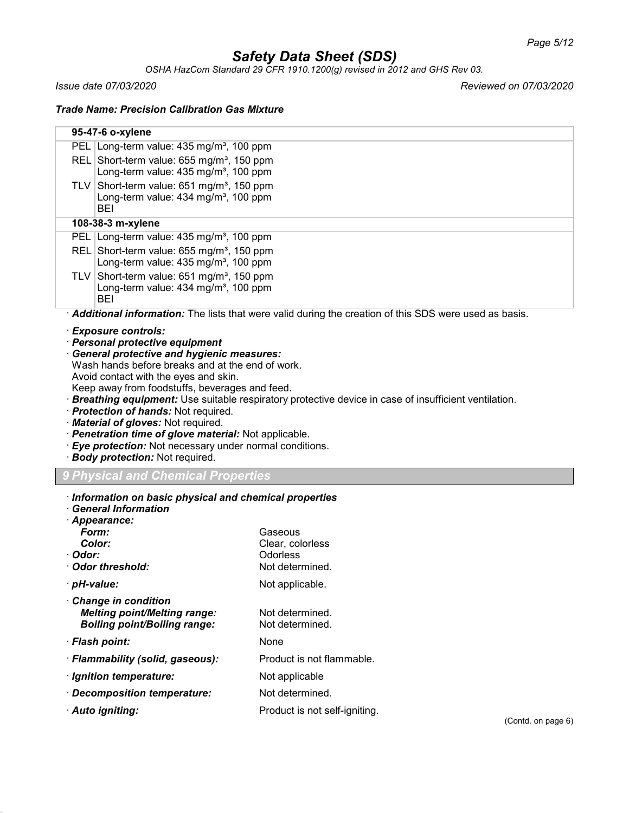*OSHA HazCom Standard 29 CFR 1910.1200(g) revised in 2012 and GHS Rev 03.*

*Issue date 07/03/2020 Reviewed on 07/03/2020*

*Trade Name: Precision Calibration Gas Mixture*

|                                                                                              | 95-47-6 o-xylene                                                                                         |                                                                                                       |  |  |  |
|----------------------------------------------------------------------------------------------|----------------------------------------------------------------------------------------------------------|-------------------------------------------------------------------------------------------------------|--|--|--|
|                                                                                              | PEL Long-term value: 435 mg/m <sup>3</sup> , 100 ppm                                                     |                                                                                                       |  |  |  |
|                                                                                              | REL Short-term value: 655 mg/m <sup>3</sup> , 150 ppm                                                    |                                                                                                       |  |  |  |
|                                                                                              | Long-term value: 435 mg/m <sup>3</sup> , 100 ppm                                                         |                                                                                                       |  |  |  |
|                                                                                              | TLV Short-term value: $651 \text{ mg/m}^3$ , 150 ppm<br>Long-term value: 434 mg/m <sup>3</sup> , 100 ppm |                                                                                                       |  |  |  |
|                                                                                              | BEI                                                                                                      |                                                                                                       |  |  |  |
|                                                                                              | 108-38-3 m-xylene                                                                                        |                                                                                                       |  |  |  |
|                                                                                              | PEL Long-term value: 435 mg/m <sup>3</sup> , 100 ppm                                                     |                                                                                                       |  |  |  |
|                                                                                              | REL Short-term value: 655 mg/m <sup>3</sup> , 150 ppm                                                    |                                                                                                       |  |  |  |
|                                                                                              | Long-term value: 435 mg/m <sup>3</sup> , 100 ppm                                                         |                                                                                                       |  |  |  |
|                                                                                              | TLV Short-term value: $651 \text{ mg/m}^3$ , 150 ppm                                                     |                                                                                                       |  |  |  |
|                                                                                              | Long-term value: $434$ mg/m <sup>3</sup> , 100 ppm<br><b>BEI</b>                                         |                                                                                                       |  |  |  |
|                                                                                              |                                                                                                          | Additional information: The lists that were valid during the creation of this SDS were used as basis. |  |  |  |
|                                                                                              | · Exposure controls:                                                                                     |                                                                                                       |  |  |  |
|                                                                                              | · Personal protective equipment                                                                          |                                                                                                       |  |  |  |
|                                                                                              | General protective and hygienic measures:                                                                |                                                                                                       |  |  |  |
|                                                                                              | Wash hands before breaks and at the end of work.                                                         |                                                                                                       |  |  |  |
|                                                                                              | Avoid contact with the eyes and skin.<br>Keep away from foodstuffs, beverages and feed.                  |                                                                                                       |  |  |  |
|                                                                                              |                                                                                                          | Breathing equipment: Use suitable respiratory protective device in case of insufficient ventilation.  |  |  |  |
|                                                                                              | · Protection of hands: Not required.                                                                     |                                                                                                       |  |  |  |
|                                                                                              | Material of gloves: Not required.                                                                        |                                                                                                       |  |  |  |
|                                                                                              | · Penetration time of glove material: Not applicable.                                                    |                                                                                                       |  |  |  |
| · Eye protection: Not necessary under normal conditions.<br>· Body protection: Not required. |                                                                                                          |                                                                                                       |  |  |  |
|                                                                                              |                                                                                                          |                                                                                                       |  |  |  |
| 9 Physical and Chemical Properties                                                           |                                                                                                          |                                                                                                       |  |  |  |
|                                                                                              |                                                                                                          |                                                                                                       |  |  |  |
|                                                                                              | Information on basic physical and chemical properties                                                    |                                                                                                       |  |  |  |
|                                                                                              | <b>General Information</b>                                                                               |                                                                                                       |  |  |  |
|                                                                                              | · Appearance:                                                                                            |                                                                                                       |  |  |  |
|                                                                                              | Form:                                                                                                    | Gaseous                                                                                               |  |  |  |
| · Odor:                                                                                      | Color:                                                                                                   | Clear, colorless<br>Odorless                                                                          |  |  |  |
|                                                                                              | Odor threshold:                                                                                          | Not determined.                                                                                       |  |  |  |
|                                                                                              | · pH-value:                                                                                              | Not applicable.                                                                                       |  |  |  |
|                                                                                              | Change in condition                                                                                      |                                                                                                       |  |  |  |
|                                                                                              | <b>Melting point/Melting range:</b>                                                                      | Not determined.                                                                                       |  |  |  |
|                                                                                              | <b>Boiling point/Boiling range:</b>                                                                      | Not determined.                                                                                       |  |  |  |
|                                                                                              | · Flash point:                                                                                           | None                                                                                                  |  |  |  |
|                                                                                              | · Flammability (solid, gaseous):                                                                         | Product is not flammable.                                                                             |  |  |  |
|                                                                                              | · Ignition temperature:                                                                                  | Not applicable                                                                                        |  |  |  |
|                                                                                              | Decomposition temperature:                                                                               | Not determined.                                                                                       |  |  |  |
|                                                                                              | · Auto igniting:                                                                                         | Product is not self-igniting.<br>(Contd. on page 6)                                                   |  |  |  |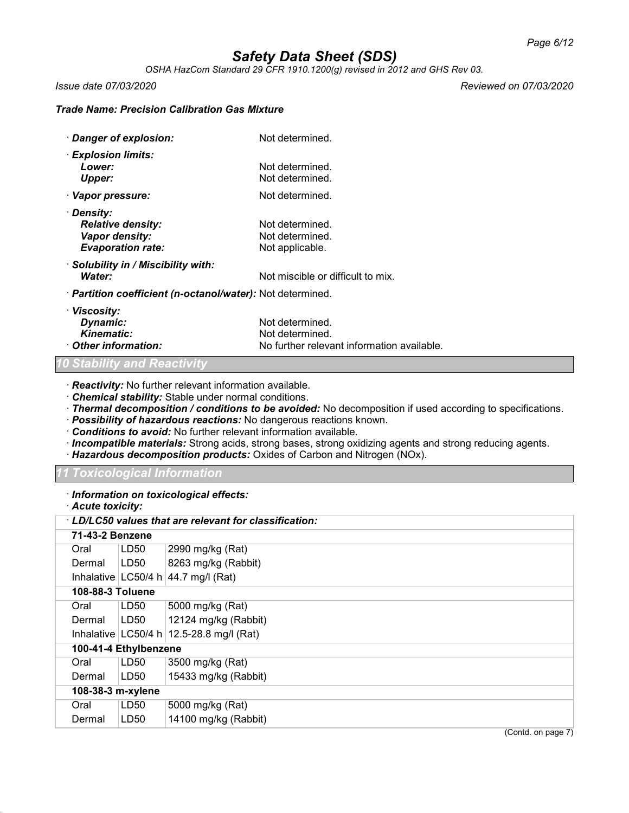*OSHA HazCom Standard 29 CFR 1910.1200(g) revised in 2012 and GHS Rev 03.*

*Issue date 07/03/2020 Reviewed on 07/03/2020*

### *Trade Name: Precision Calibration Gas Mixture*

| Danger of explosion:                                                                 | Not determined.                                                                  |
|--------------------------------------------------------------------------------------|----------------------------------------------------------------------------------|
| · Explosion limits:<br>Lower:<br>Upper:                                              | Not determined.<br>Not determined.                                               |
| · Vapor pressure:                                                                    | Not determined.                                                                  |
| · Density:<br><b>Relative density:</b><br>Vapor density:<br><b>Evaporation rate:</b> | Not determined.<br>Not determined.<br>Not applicable.                            |
| Solubility in / Miscibility with:<br>Water:                                          | Not miscible or difficult to mix.                                                |
| · Partition coefficient (n-octanol/water): Not determined.                           |                                                                                  |
| · Viscosity:<br>Dynamic:<br>Kinematic:<br>Other information:                         | Not determined.<br>Not determined.<br>No further relevant information available. |

### *10 Stability and Reactivity*

· *Reactivity:* No further relevant information available.

· *Chemical stability:* Stable under normal conditions.

· *Thermal decomposition / conditions to be avoided:* No decomposition if used according to specifications.

- · *Possibility of hazardous reactions:* No dangerous reactions known.
- · *Conditions to avoid:* No further relevant information available.
- · *Incompatible materials:* Strong acids, strong bases, strong oxidizing agents and strong reducing agents.
- · *Hazardous decomposition products:* Oxides of Carbon and Nitrogen (NOx).

*11 Toxicological Information*

· *Information on toxicological effects:*

| · Acute toxicity: |  |  |  |  |  |  |  |
|-------------------|--|--|--|--|--|--|--|
|-------------------|--|--|--|--|--|--|--|

|                   | · LD/LC50 values that are relevant for classification: |                       |                                              |
|-------------------|--------------------------------------------------------|-----------------------|----------------------------------------------|
|                   | 71-43-2 Benzene                                        |                       |                                              |
|                   | Oral                                                   | LD50                  | 2990 mg/kg (Rat)                             |
|                   | Dermal                                                 | LD50                  | 8263 mg/kg (Rabbit)                          |
|                   |                                                        |                       | Inhalative $ LG50/4 h 44.7 mg/l (Rat)$       |
|                   | 108-88-3 Toluene                                       |                       |                                              |
|                   | Oral                                                   | LD50                  | 5000 mg/kg (Rat)                             |
|                   | Dermal                                                 | LD50                  | 12124 mg/kg (Rabbit)                         |
|                   |                                                        |                       | Inhalative $ LC50/4 h  12.5-28.8 mg/l$ (Rat) |
|                   |                                                        | 100-41-4 Ethylbenzene |                                              |
|                   | Oral                                                   | LD50                  | 3500 mg/kg (Rat)                             |
|                   | Dermal                                                 | LD50                  | 15433 mg/kg (Rabbit)                         |
| 108-38-3 m-xylene |                                                        |                       |                                              |
|                   | Oral                                                   | LD50                  | 5000 mg/kg (Rat)                             |
|                   | Dermal                                                 | LD50                  | 14100 mg/kg (Rabbit)                         |
|                   |                                                        |                       | $(0.0001)$ and $(0.0000)$                    |

(Contd. on page 7)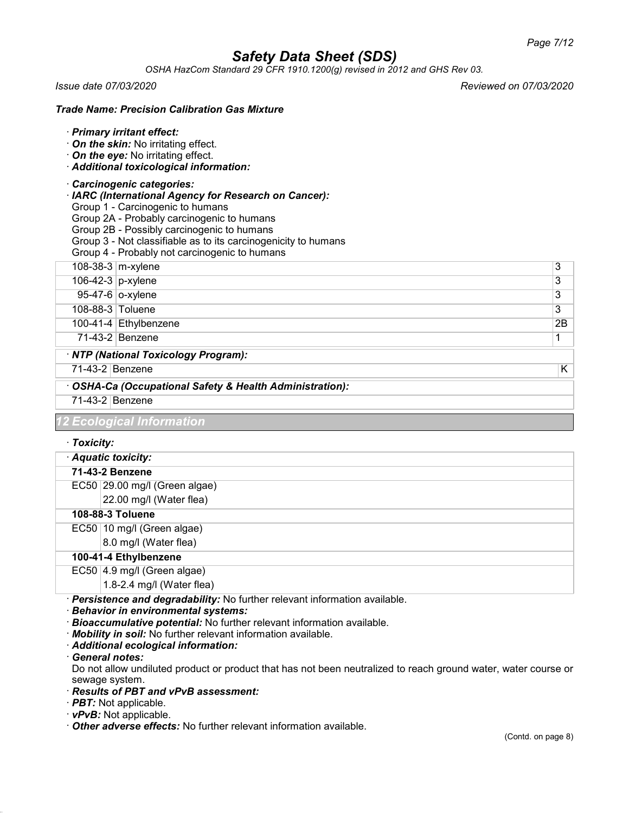*OSHA HazCom Standard 29 CFR 1910.1200(g) revised in 2012 and GHS Rev 03.*

*Issue date 07/03/2020 Reviewed on 07/03/2020*

### *Trade Name: Precision Calibration Gas Mixture*

#### · *Primary irritant effect:*

- · *On the skin:* No irritating effect.
- · *On the eye:* No irritating effect.
- · *Additional toxicological information:*

#### · *Carcinogenic categories:*

- · *IARC (International Agency for Research on Cancer):*
- Group 1 Carcinogenic to humans
- Group 2A Probably carcinogenic to humans
- Group 2B Possibly carcinogenic to humans
- Group 3 Not classifiable as to its carcinogenicity to humans
- Group 4 Probably not carcinogenic to humans
- 108-38-3 m-xylene 3
- $106-42-3$  p-xylene  $3$
- 95-47-6 o-xylene 3
- 108-88-3 Toluene 3
- 100-41-4 Ethylbenzene 2B
- 71-43-2 Benzene 1

## · *NTP (National Toxicology Program):*

## 71-43-2 Benzene K

· *OSHA-Ca (Occupational Safety & Health Administration):*

### 71-43-2 Benzene

## *Ecological Informa*

## · *Toxicity:*

|                       | Aquatic toxicity:             |  |  |  |  |
|-----------------------|-------------------------------|--|--|--|--|
|                       | 71-43-2 Benzene               |  |  |  |  |
|                       | EC50 29.00 mg/l (Green algae) |  |  |  |  |
|                       | 22.00 mg/l (Water flea)       |  |  |  |  |
|                       | 108-88-3 Toluene              |  |  |  |  |
|                       | EC50 10 mg/l (Green algae)    |  |  |  |  |
|                       | 8.0 mg/l (Water flea)         |  |  |  |  |
| 100-41-4 Ethylbenzene |                               |  |  |  |  |
|                       | EC50 4.9 mg/l (Green algae)   |  |  |  |  |
|                       | 1.8-2.4 mg/l (Water flea)     |  |  |  |  |

· *Persistence and degradability:* No further relevant information available.

· *Behavior in environmental systems:*

- · *Bioaccumulative potential:* No further relevant information available.
- · *Mobility in soil:* No further relevant information available.
- · *Additional ecological information:*
- · *General notes:*

Do not allow undiluted product or product that has not been neutralized to reach ground water, water course or sewage system.

## · *Results of PBT and vPvB assessment:*

- · *PBT:* Not applicable.
- · *vPvB:* Not applicable.
- · *Other adverse effects:* No further relevant information available.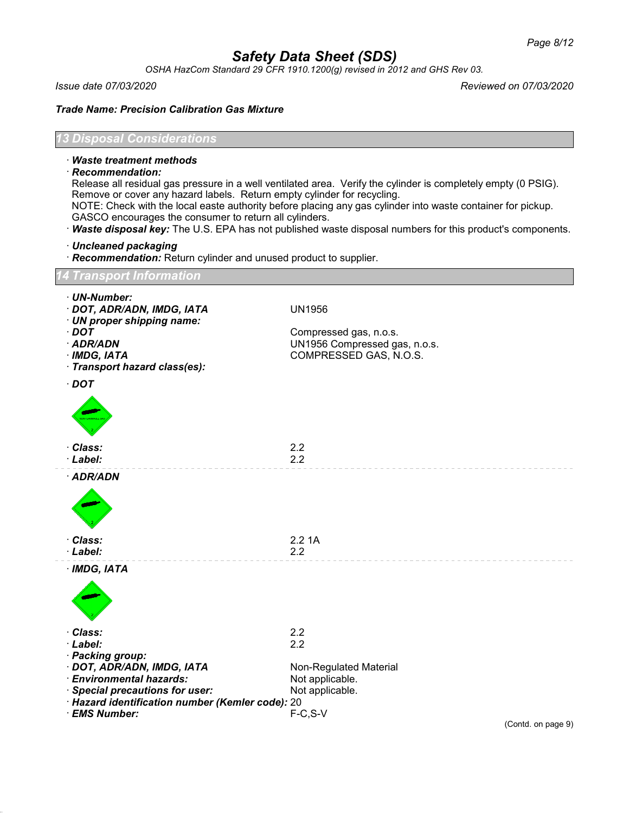*OSHA HazCom Standard 29 CFR 1910.1200(g) revised in 2012 and GHS Rev 03.*

*Issue date 07/03/2020 Reviewed on 07/03/2020*

*Trade Name: Precision Calibration Gas Mixture*

## *13 Disposal Considerations*

### · *Waste treatment methods*

· *Recommendation:*

Release all residual gas pressure in a well ventilated area. Verify the cylinder is completely empty (0 PSIG). Remove or cover any hazard labels. Return empty cylinder for recycling. NOTE: Check with the local easte authority before placing any gas cylinder into waste container for pickup.

- GASCO encourages the consumer to return all cylinders.
- · *Waste disposal key:* The U.S. EPA has not published waste disposal numbers for this product's components.
- · *Uncleaned packaging*
- · *Recommendation:* Return cylinder and unused product to supplier.

## *14 Transport Information*

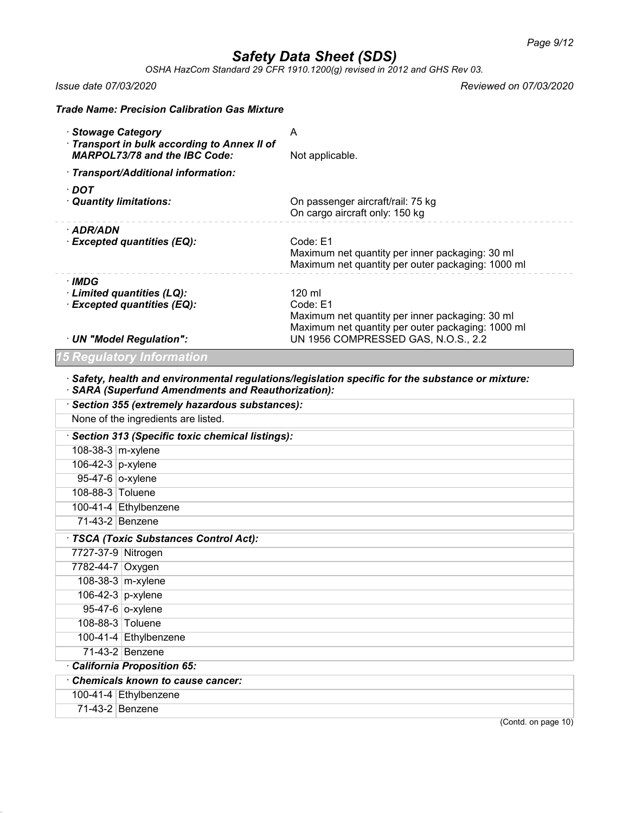*OSHA HazCom Standard 29 CFR 1910.1200(g) revised in 2012 and GHS Rev 03.*

*Issue date 07/03/2020 Reviewed on 07/03/2020*

|                                        | <b>Trade Name: Precision Calibration Gas Mixture</b>                                   |                                                                                                                                                                   |
|----------------------------------------|----------------------------------------------------------------------------------------|-------------------------------------------------------------------------------------------------------------------------------------------------------------------|
| · Stowage Category                     | Transport in bulk according to Annex II of<br><b>MARPOL73/78 and the IBC Code:</b>     | A<br>Not applicable.                                                                                                                                              |
|                                        | · Transport/Additional information:                                                    |                                                                                                                                                                   |
| $\cdot$ DOT<br>· Quantity limitations: |                                                                                        | On passenger aircraft/rail: 75 kg<br>On cargo aircraft only: 150 kg                                                                                               |
| · ADR/ADN                              | · Excepted quantities (EQ):                                                            | Code: E1<br>Maximum net quantity per inner packaging: 30 ml<br>Maximum net quantity per outer packaging: 1000 ml                                                  |
| · IMDG                                 | · Limited quantities (LQ):<br>· Excepted quantities (EQ):<br>· UN "Model Regulation":  | 120 ml<br>Code: E1<br>Maximum net quantity per inner packaging: 30 ml<br>Maximum net quantity per outer packaging: 1000 ml<br>UN 1956 COMPRESSED GAS, N.O.S., 2.2 |
|                                        | <b>15 Regulatory Information</b>                                                       |                                                                                                                                                                   |
|                                        | · SARA (Superfund Amendments and Reauthorization):                                     | $\cdot$ Safety, health and environmental regulations/legislation specific for the substance or mixture:                                                           |
|                                        | · Section 355 (extremely hazardous substances):<br>None of the ingredients are listed. |                                                                                                                                                                   |
|                                        |                                                                                        |                                                                                                                                                                   |
| 108-38-3 m-xylene                      | · Section 313 (Specific toxic chemical listings):                                      |                                                                                                                                                                   |
| 106-42-3 p-xylene                      |                                                                                        |                                                                                                                                                                   |
| 95-47-6 o-xylene                       |                                                                                        |                                                                                                                                                                   |
| 108-88-3 Toluene                       |                                                                                        |                                                                                                                                                                   |
|                                        | 100-41-4 Ethylbenzene                                                                  |                                                                                                                                                                   |
| 71-43-2 Benzene                        |                                                                                        |                                                                                                                                                                   |
|                                        | · TSCA (Toxic Substances Control Act):                                                 |                                                                                                                                                                   |
| 7727-37-9 Nitrogen                     |                                                                                        |                                                                                                                                                                   |
| 7782-44-7 Oxygen                       |                                                                                        |                                                                                                                                                                   |
|                                        | 108-38-3 $ m$ -xylene                                                                  |                                                                                                                                                                   |
| 106-42-3 p-xylene                      |                                                                                        |                                                                                                                                                                   |
|                                        | 95-47-6 o-xylene                                                                       |                                                                                                                                                                   |
| 108-88-3 Toluene                       |                                                                                        |                                                                                                                                                                   |
|                                        | 100-41-4 Ethylbenzene                                                                  |                                                                                                                                                                   |
|                                        | 71-43-2 Benzene                                                                        |                                                                                                                                                                   |
|                                        | California Proposition 65:                                                             |                                                                                                                                                                   |
|                                        | <b>Chemicals known to cause cancer:</b>                                                |                                                                                                                                                                   |
|                                        | 100-41-4 Ethylbenzene                                                                  |                                                                                                                                                                   |
| 71-43-2 Benzene                        |                                                                                        |                                                                                                                                                                   |
|                                        |                                                                                        | (Contd. on page 10)                                                                                                                                               |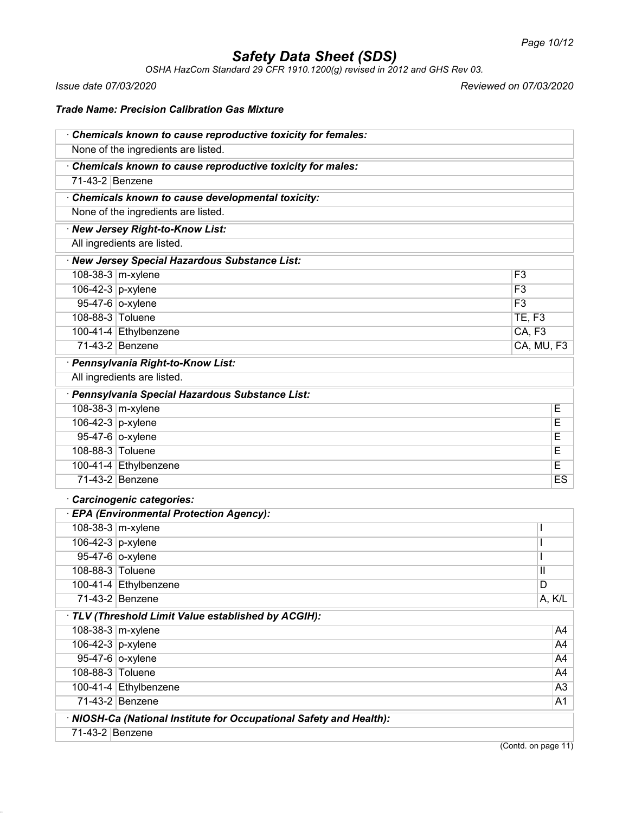*OSHA HazCom Standard 29 CFR 1910.1200(g) revised in 2012 and GHS Rev 03.*

*Issue date 07/03/2020 Reviewed on 07/03/2020*

## *Trade Name: Precision Calibration Gas Mixture*

|                   | Chemicals known to cause reproductive toxicity for females:         |                    |                |
|-------------------|---------------------------------------------------------------------|--------------------|----------------|
|                   | None of the ingredients are listed.                                 |                    |                |
|                   | Chemicals known to cause reproductive toxicity for males:           |                    |                |
| 71-43-2 Benzene   |                                                                     |                    |                |
|                   | Chemicals known to cause developmental toxicity:                    |                    |                |
|                   | None of the ingredients are listed.                                 |                    |                |
|                   | · New Jersey Right-to-Know List:                                    |                    |                |
|                   | All ingredients are listed.                                         |                    |                |
|                   | · New Jersey Special Hazardous Substance List:                      |                    |                |
|                   | 108-38-3 m-xylene                                                   | F <sub>3</sub>     |                |
| 106-42-3 p-xylene |                                                                     | $\overline{F3}$    |                |
|                   | 95-47-6 o-xylene                                                    | F3                 |                |
| 108-88-3 Toluene  |                                                                     | <b>TE, F3</b>      |                |
|                   | 100-41-4 Ethylbenzene                                               | CA, F <sub>3</sub> |                |
|                   | 71-43-2 Benzene                                                     |                    | CA, MU, F3     |
|                   | · Pennsylvania Right-to-Know List:                                  |                    |                |
|                   | All ingredients are listed.                                         |                    |                |
|                   | · Pennsylvania Special Hazardous Substance List:                    |                    |                |
|                   | 108-38-3 m-xylene                                                   |                    | Ε              |
| 106-42-3 p-xylene |                                                                     |                    | E              |
|                   | 95-47-6 o-xylene                                                    |                    | Ε              |
| 108-88-3 Toluene  |                                                                     |                    | E              |
|                   | 100-41-4 Ethylbenzene                                               |                    | Е              |
|                   | 71-43-2 Benzene                                                     |                    | <b>ES</b>      |
|                   | Carcinogenic categories:                                            |                    |                |
|                   | · EPA (Environmental Protection Agency):                            |                    |                |
|                   | 108-38-3 m-xylene                                                   |                    |                |
| 106-42-3 p-xylene |                                                                     |                    | $\mathsf{l}$   |
|                   | 95-47-6 o-xylene                                                    |                    | $\mathbf{I}$   |
| 108-88-3 Toluene  |                                                                     |                    | Ш              |
|                   | 100-41-4 Ethylbenzene                                               |                    | $\overline{D}$ |
|                   | 71-43-2 Benzene                                                     |                    | A, K/L         |
|                   | · TLV (Threshold Limit Value established by ACGIH):                 |                    |                |
|                   | 108-38-3 m-xylene                                                   |                    | A4             |
| 106-42-3 p-xylene |                                                                     |                    | A4             |
|                   | 95-47-6 o-xylene                                                    |                    | A4             |
| 108-88-3 Toluene  |                                                                     |                    | A4             |
|                   | 100-41-4 Ethylbenzene                                               |                    | A3             |
|                   | 71-43-2 Benzene                                                     |                    | A1             |
|                   | · NIOSH-Ca (National Institute for Occupational Safety and Health): |                    |                |
| 71-43-2 Benzene   |                                                                     |                    |                |
|                   |                                                                     |                    |                |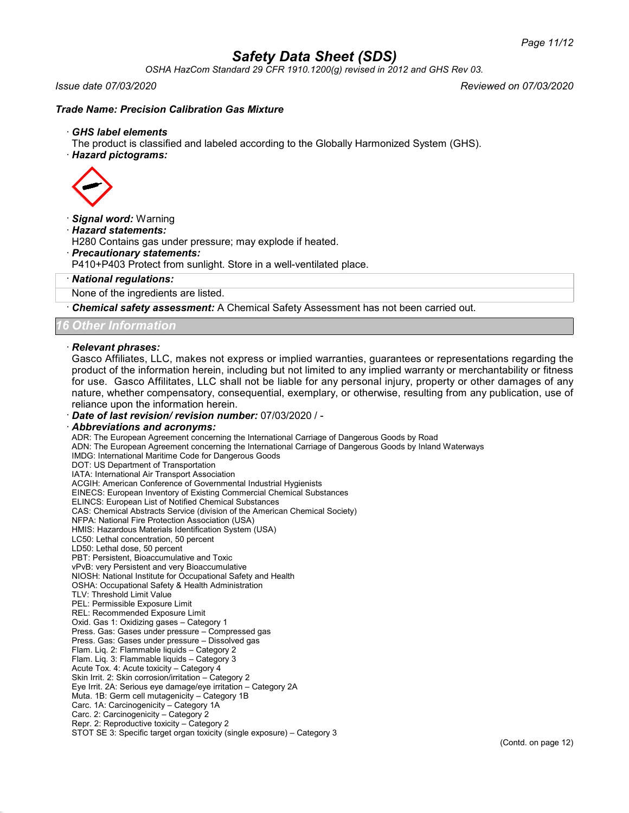*OSHA HazCom Standard 29 CFR 1910.1200(g) revised in 2012 and GHS Rev 03.*

*Issue date 07/03/2020 Reviewed on 07/03/2020*

### *Trade Name: Precision Calibration Gas Mixture*

#### · *GHS label elements*

The product is classified and labeled according to the Globally Harmonized System (GHS).

· *Hazard pictograms:*



#### · *Signal word:* Warning

· *Hazard statements:*

H280 Contains gas under pressure; may explode if heated.

#### · *Precautionary statements:*

P410+P403 Protect from sunlight. Store in a well-ventilated place.

#### · *National regulations:*

None of the ingredients are listed.

· *Chemical safety assessment:* A Chemical Safety Assessment has not been carried out.

*16 Other Information*

#### · *Relevant phrases:*

Gasco Affiliates, LLC, makes not express or implied warranties, guarantees or representations regarding the product of the information herein, including but not limited to any implied warranty or merchantability or fitness for use. Gasco Affilitates, LLC shall not be liable for any personal injury, property or other damages of any nature, whether compensatory, consequential, exemplary, or otherwise, resulting from any publication, use of reliance upon the information herein.

#### · *Date of last revision/ revision number:* 07/03/2020 / -

#### · *Abbreviations and acronyms:*

ADR: The European Agreement concerning the International Carriage of Dangerous Goods by Road ADN: The European Agreement concerning the International Carriage of Dangerous Goods by Inland Waterways IMDG: International Maritime Code for Dangerous Goods DOT: US Department of Transportation IATA: International Air Transport Association ACGIH: American Conference of Governmental Industrial Hygienists EINECS: European Inventory of Existing Commercial Chemical Substances ELINCS: European List of Notified Chemical Substances CAS: Chemical Abstracts Service (division of the American Chemical Society) NFPA: National Fire Protection Association (USA) HMIS: Hazardous Materials Identification System (USA) LC50: Lethal concentration, 50 percent LD50: Lethal dose, 50 percent PBT: Persistent, Bioaccumulative and Toxic vPvB: very Persistent and very Bioaccumulative NIOSH: National Institute for Occupational Safety and Health OSHA: Occupational Safety & Health Administration TLV: Threshold Limit Value PEL: Permissible Exposure Limit REL: Recommended Exposure Limit Oxid. Gas 1: Oxidizing gases – Category 1 Press. Gas: Gases under pressure – Compressed gas Press. Gas: Gases under pressure – Dissolved gas Flam. Liq. 2: Flammable liquids – Category 2 Flam. Liq. 3: Flammable liquids – Category 3 Acute Tox. 4: Acute toxicity – Category 4 Skin Irrit. 2: Skin corrosion/irritation – Category 2 Eye Irrit. 2A: Serious eye damage/eye irritation – Category 2A Muta. 1B: Germ cell mutagenicity – Category 1B Carc. 1A: Carcinogenicity – Category 1A Carc. 2: Carcinogenicity – Category 2 Repr. 2: Reproductive toxicity – Category 2 STOT SE 3: Specific target organ toxicity (single exposure) – Category 3